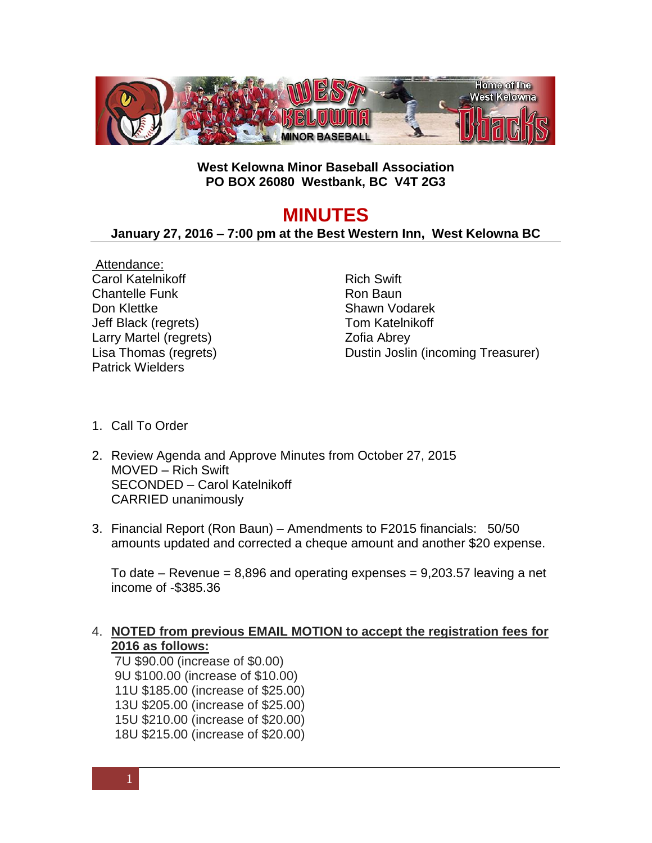

## **West Kelowna Minor Baseball Association PO BOX 26080 Westbank, BC V4T 2G3**

## **MINUTES**

## **January 27, 2016 – 7:00 pm at the Best Western Inn, West Kelowna BC**

Attendance: Carol Katelnikoff Chantelle Funk Don Klettke Jeff Black (regrets) Larry Martel (regrets) Lisa Thomas (regrets) Patrick Wielders

Rich Swift Ron Baun Shawn Vodarek Tom Katelnikoff Zofia Abrey Dustin Joslin (incoming Treasurer)

- 1. Call To Order
- 2. Review Agenda and Approve Minutes from October 27, 2015 MOVED – Rich Swift SECONDED – Carol Katelnikoff CARRIED unanimously
- 3. Financial Report (Ron Baun) Amendments to F2015 financials: 50/50 amounts updated and corrected a cheque amount and another \$20 expense.

To date – Revenue =  $8,896$  and operating expenses =  $9,203.57$  leaving a net income of -\$385.36

## 4. **NOTED from previous EMAIL MOTION to accept the registration fees for 2016 as follows:**

7U \$90.00 (increase of \$0.00) 9U \$100.00 (increase of \$10.00) 11U \$185.00 (increase of \$25.00) 13U \$205.00 (increase of \$25.00) 15U \$210.00 (increase of \$20.00) 18U \$215.00 (increase of \$20.00)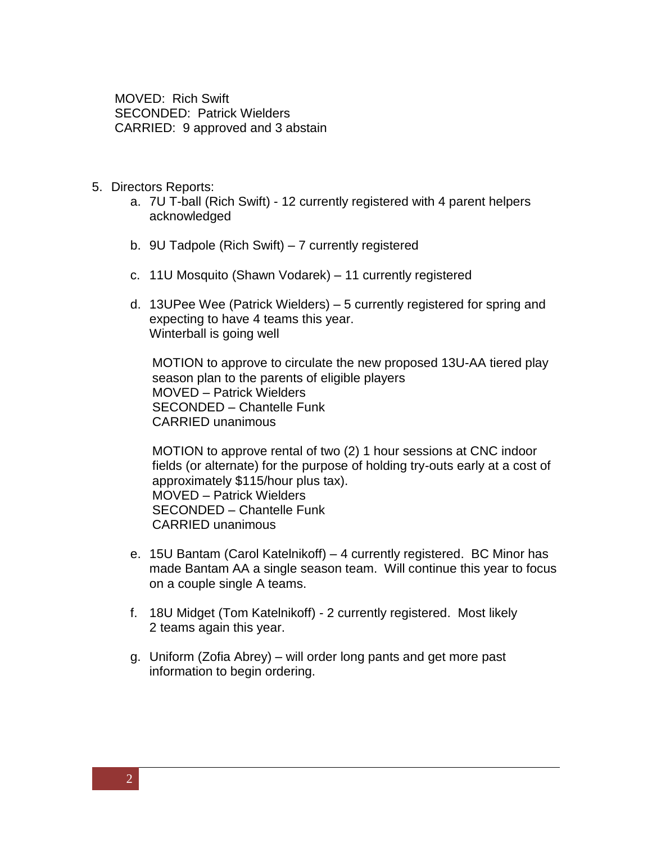MOVED: Rich Swift SECONDED: Patrick Wielders CARRIED: 9 approved and 3 abstain

- 5. Directors Reports:
	- a. 7U T-ball (Rich Swift) 12 currently registered with 4 parent helpers acknowledged
	- b. 9U Tadpole (Rich Swift) 7 currently registered
	- c. 11U Mosquito (Shawn Vodarek) 11 currently registered
	- d. 13UPee Wee (Patrick Wielders) 5 currently registered for spring and expecting to have 4 teams this year. Winterball is going well

MOTION to approve to circulate the new proposed 13U-AA tiered play season plan to the parents of eligible players MOVED – Patrick Wielders SECONDED – Chantelle Funk CARRIED unanimous

MOTION to approve rental of two (2) 1 hour sessions at CNC indoor fields (or alternate) for the purpose of holding try-outs early at a cost of approximately \$115/hour plus tax). MOVED – Patrick Wielders SECONDED – Chantelle Funk CARRIED unanimous

- e. 15U Bantam (Carol Katelnikoff) 4 currently registered. BC Minor has made Bantam AA a single season team. Will continue this year to focus on a couple single A teams.
- f. 18U Midget (Tom Katelnikoff) 2 currently registered. Most likely 2 teams again this year.
- g. Uniform (Zofia Abrey) will order long pants and get more past information to begin ordering.